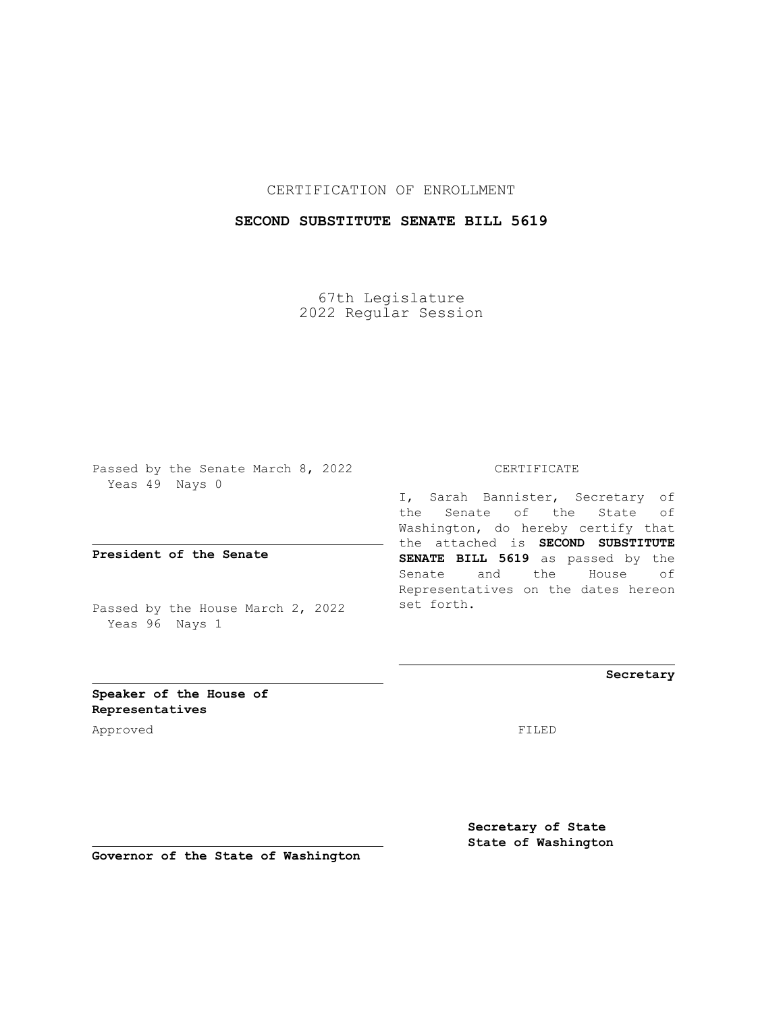## CERTIFICATION OF ENROLLMENT

## **SECOND SUBSTITUTE SENATE BILL 5619**

67th Legislature 2022 Regular Session

Passed by the Senate March 8, 2022 Yeas 49 Nays 0

**President of the Senate**

Passed by the House March 2, 2022 Yeas 96 Nays 1

CERTIFICATE

I, Sarah Bannister, Secretary of the Senate of the State of Washington, do hereby certify that the attached is **SECOND SUBSTITUTE SENATE BILL 5619** as passed by the Senate and the House of Representatives on the dates hereon set forth.

**Secretary**

**Speaker of the House of Representatives**

Approved FILED

**Secretary of State State of Washington**

**Governor of the State of Washington**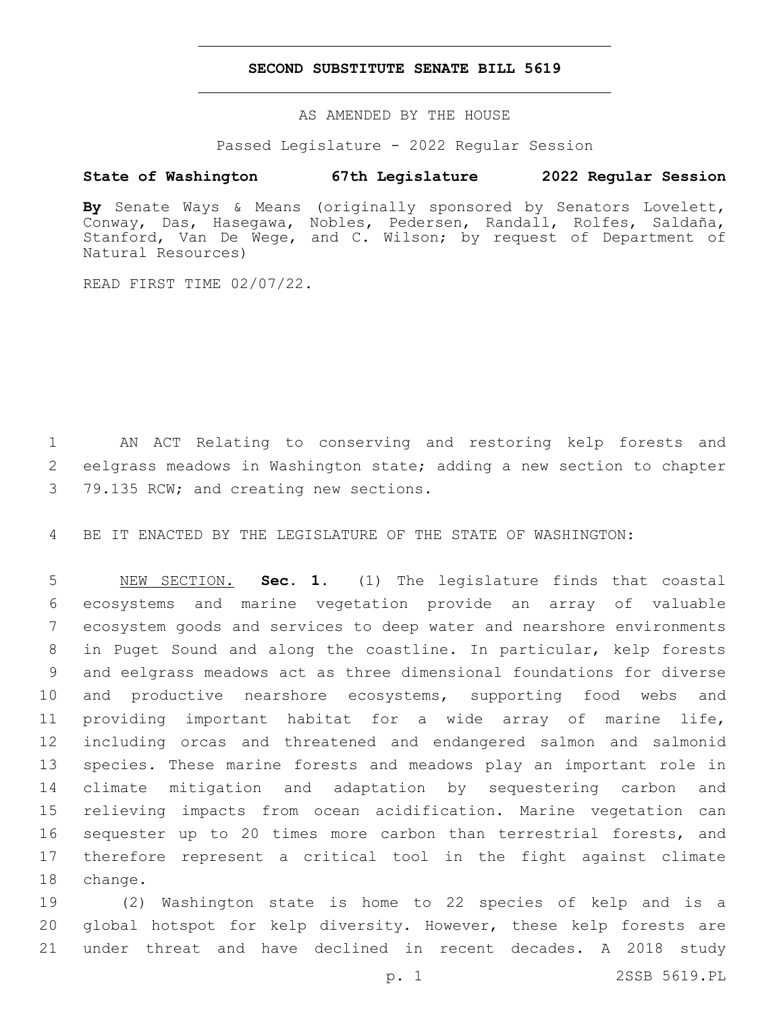## **SECOND SUBSTITUTE SENATE BILL 5619**

AS AMENDED BY THE HOUSE

Passed Legislature - 2022 Regular Session

## **State of Washington 67th Legislature 2022 Regular Session**

**By** Senate Ways & Means (originally sponsored by Senators Lovelett, Conway, Das, Hasegawa, Nobles, Pedersen, Randall, Rolfes, Saldaña, Stanford, Van De Wege, and C. Wilson; by request of Department of Natural Resources)

READ FIRST TIME 02/07/22.

 AN ACT Relating to conserving and restoring kelp forests and eelgrass meadows in Washington state; adding a new section to chapter 3 79.135 RCW; and creating new sections.

BE IT ENACTED BY THE LEGISLATURE OF THE STATE OF WASHINGTON:

 NEW SECTION. **Sec. 1.** (1) The legislature finds that coastal ecosystems and marine vegetation provide an array of valuable ecosystem goods and services to deep water and nearshore environments in Puget Sound and along the coastline. In particular, kelp forests and eelgrass meadows act as three dimensional foundations for diverse and productive nearshore ecosystems, supporting food webs and providing important habitat for a wide array of marine life, including orcas and threatened and endangered salmon and salmonid species. These marine forests and meadows play an important role in climate mitigation and adaptation by sequestering carbon and relieving impacts from ocean acidification. Marine vegetation can 16 sequester up to 20 times more carbon than terrestrial forests, and therefore represent a critical tool in the fight against climate change.

 (2) Washington state is home to 22 species of kelp and is a global hotspot for kelp diversity. However, these kelp forests are under threat and have declined in recent decades. A 2018 study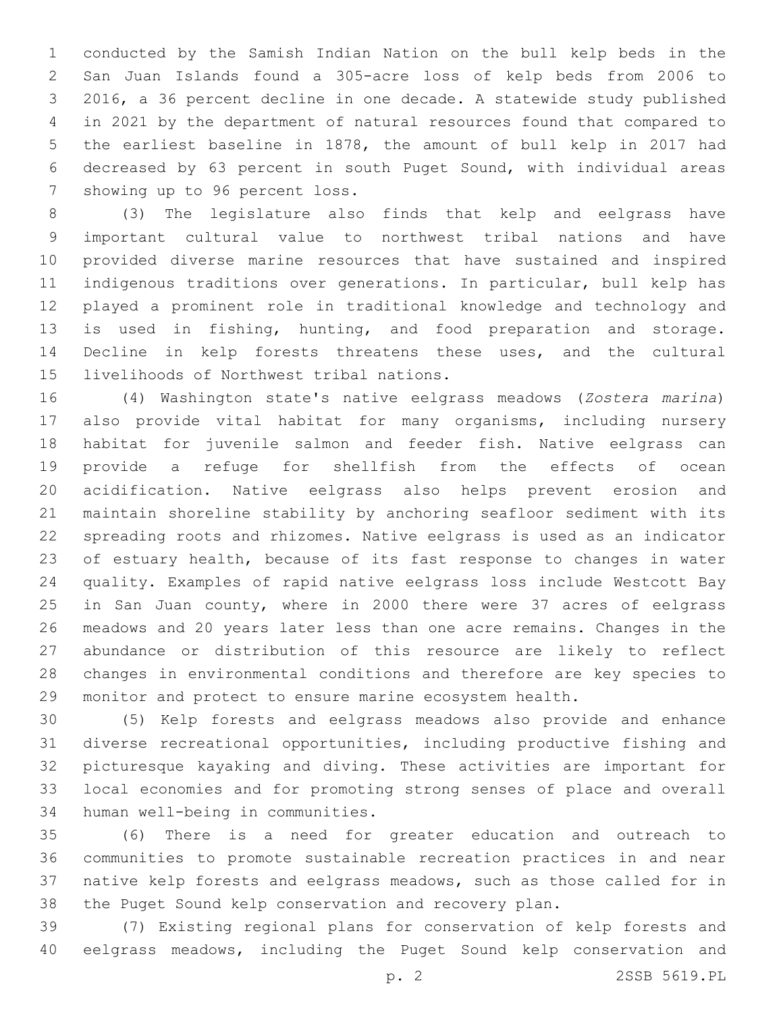conducted by the Samish Indian Nation on the bull kelp beds in the San Juan Islands found a 305-acre loss of kelp beds from 2006 to 2016, a 36 percent decline in one decade. A statewide study published in 2021 by the department of natural resources found that compared to the earliest baseline in 1878, the amount of bull kelp in 2017 had decreased by 63 percent in south Puget Sound, with individual areas 7 showing up to 96 percent loss.

 (3) The legislature also finds that kelp and eelgrass have important cultural value to northwest tribal nations and have provided diverse marine resources that have sustained and inspired indigenous traditions over generations. In particular, bull kelp has played a prominent role in traditional knowledge and technology and is used in fishing, hunting, and food preparation and storage. Decline in kelp forests threatens these uses, and the cultural 15 livelihoods of Northwest tribal nations.

 (4) Washington state's native eelgrass meadows (*Zostera marina*) also provide vital habitat for many organisms, including nursery habitat for juvenile salmon and feeder fish. Native eelgrass can provide a refuge for shellfish from the effects of ocean acidification. Native eelgrass also helps prevent erosion and maintain shoreline stability by anchoring seafloor sediment with its spreading roots and rhizomes. Native eelgrass is used as an indicator of estuary health, because of its fast response to changes in water quality. Examples of rapid native eelgrass loss include Westcott Bay 25 in San Juan county, where in 2000 there were 37 acres of eelgrass meadows and 20 years later less than one acre remains. Changes in the abundance or distribution of this resource are likely to reflect changes in environmental conditions and therefore are key species to monitor and protect to ensure marine ecosystem health.

 (5) Kelp forests and eelgrass meadows also provide and enhance diverse recreational opportunities, including productive fishing and picturesque kayaking and diving. These activities are important for local economies and for promoting strong senses of place and overall 34 human well-being in communities.

 (6) There is a need for greater education and outreach to communities to promote sustainable recreation practices in and near native kelp forests and eelgrass meadows, such as those called for in the Puget Sound kelp conservation and recovery plan.

 (7) Existing regional plans for conservation of kelp forests and eelgrass meadows, including the Puget Sound kelp conservation and

p. 2 2SSB 5619.PL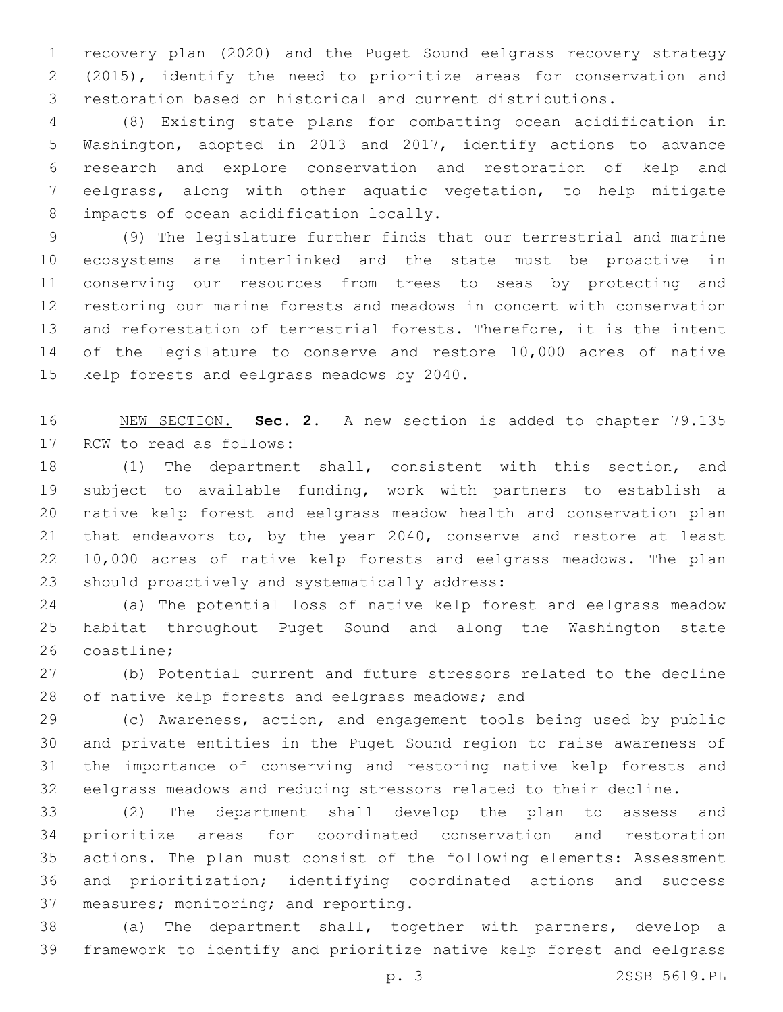recovery plan (2020) and the Puget Sound eelgrass recovery strategy (2015), identify the need to prioritize areas for conservation and restoration based on historical and current distributions.

 (8) Existing state plans for combatting ocean acidification in Washington, adopted in 2013 and 2017, identify actions to advance research and explore conservation and restoration of kelp and eelgrass, along with other aquatic vegetation, to help mitigate 8 impacts of ocean acidification locally.

 (9) The legislature further finds that our terrestrial and marine ecosystems are interlinked and the state must be proactive in conserving our resources from trees to seas by protecting and restoring our marine forests and meadows in concert with conservation and reforestation of terrestrial forests. Therefore, it is the intent of the legislature to conserve and restore 10,000 acres of native 15 kelp forests and eelgrass meadows by 2040.

 NEW SECTION. **Sec. 2.** A new section is added to chapter 79.135 17 RCW to read as follows:

 (1) The department shall, consistent with this section, and subject to available funding, work with partners to establish a native kelp forest and eelgrass meadow health and conservation plan that endeavors to, by the year 2040, conserve and restore at least 10,000 acres of native kelp forests and eelgrass meadows. The plan 23 should proactively and systematically address:

 (a) The potential loss of native kelp forest and eelgrass meadow habitat throughout Puget Sound and along the Washington state 26 coastline:

 (b) Potential current and future stressors related to the decline 28 of native kelp forests and eelgrass meadows; and

 (c) Awareness, action, and engagement tools being used by public and private entities in the Puget Sound region to raise awareness of the importance of conserving and restoring native kelp forests and eelgrass meadows and reducing stressors related to their decline.

 (2) The department shall develop the plan to assess and prioritize areas for coordinated conservation and restoration actions. The plan must consist of the following elements: Assessment and prioritization; identifying coordinated actions and success 37 measures; monitoring; and reporting.

 (a) The department shall, together with partners, develop a framework to identify and prioritize native kelp forest and eelgrass

p. 3 2SSB 5619.PL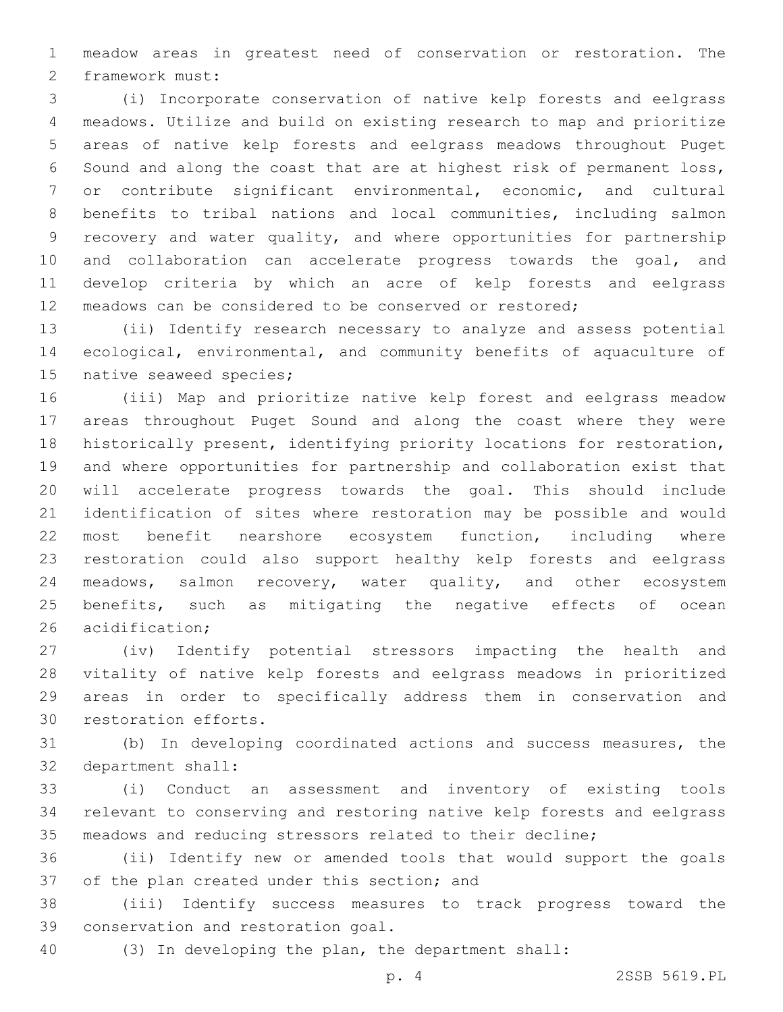meadow areas in greatest need of conservation or restoration. The 2 framework must:

 (i) Incorporate conservation of native kelp forests and eelgrass meadows. Utilize and build on existing research to map and prioritize areas of native kelp forests and eelgrass meadows throughout Puget Sound and along the coast that are at highest risk of permanent loss, or contribute significant environmental, economic, and cultural benefits to tribal nations and local communities, including salmon recovery and water quality, and where opportunities for partnership and collaboration can accelerate progress towards the goal, and develop criteria by which an acre of kelp forests and eelgrass meadows can be considered to be conserved or restored;

 (ii) Identify research necessary to analyze and assess potential ecological, environmental, and community benefits of aquaculture of 15 native seaweed species;

 (iii) Map and prioritize native kelp forest and eelgrass meadow areas throughout Puget Sound and along the coast where they were historically present, identifying priority locations for restoration, and where opportunities for partnership and collaboration exist that will accelerate progress towards the goal. This should include identification of sites where restoration may be possible and would most benefit nearshore ecosystem function, including where restoration could also support healthy kelp forests and eelgrass meadows, salmon recovery, water quality, and other ecosystem benefits, such as mitigating the negative effects of ocean 26 acidification;

 (iv) Identify potential stressors impacting the health and vitality of native kelp forests and eelgrass meadows in prioritized areas in order to specifically address them in conservation and 30 restoration efforts.

 (b) In developing coordinated actions and success measures, the 32 department shall:

 (i) Conduct an assessment and inventory of existing tools relevant to conserving and restoring native kelp forests and eelgrass meadows and reducing stressors related to their decline;

 (ii) Identify new or amended tools that would support the goals 37 of the plan created under this section; and

 (iii) Identify success measures to track progress toward the 39 conservation and restoration goal.

(3) In developing the plan, the department shall:

p. 4 2SSB 5619.PL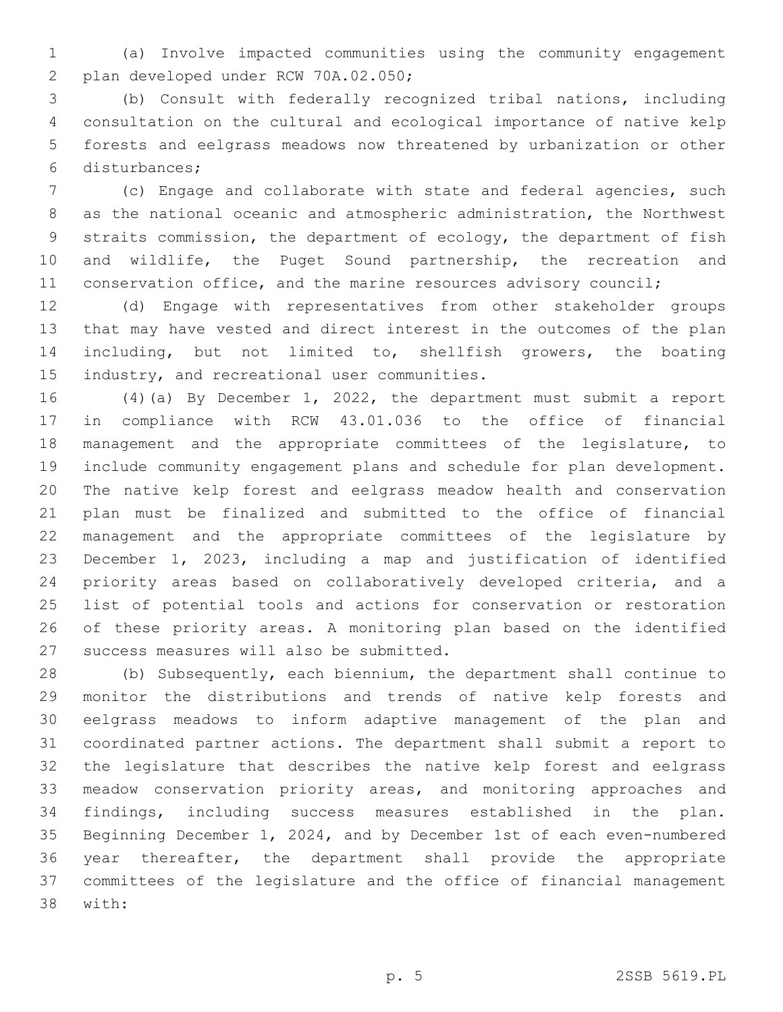(a) Involve impacted communities using the community engagement 2 plan developed under RCW 70A.02.050;

 (b) Consult with federally recognized tribal nations, including consultation on the cultural and ecological importance of native kelp forests and eelgrass meadows now threatened by urbanization or other disturbances;6

 (c) Engage and collaborate with state and federal agencies, such as the national oceanic and atmospheric administration, the Northwest straits commission, the department of ecology, the department of fish and wildlife, the Puget Sound partnership, the recreation and 11 conservation office, and the marine resources advisory council;

 (d) Engage with representatives from other stakeholder groups that may have vested and direct interest in the outcomes of the plan including, but not limited to, shellfish growers, the boating 15 industry, and recreational user communities.

 (4)(a) By December 1, 2022, the department must submit a report in compliance with RCW 43.01.036 to the office of financial management and the appropriate committees of the legislature, to include community engagement plans and schedule for plan development. The native kelp forest and eelgrass meadow health and conservation plan must be finalized and submitted to the office of financial management and the appropriate committees of the legislature by December 1, 2023, including a map and justification of identified priority areas based on collaboratively developed criteria, and a list of potential tools and actions for conservation or restoration of these priority areas. A monitoring plan based on the identified 27 success measures will also be submitted.

 (b) Subsequently, each biennium, the department shall continue to monitor the distributions and trends of native kelp forests and eelgrass meadows to inform adaptive management of the plan and coordinated partner actions. The department shall submit a report to the legislature that describes the native kelp forest and eelgrass meadow conservation priority areas, and monitoring approaches and findings, including success measures established in the plan. Beginning December 1, 2024, and by December 1st of each even-numbered year thereafter, the department shall provide the appropriate committees of the legislature and the office of financial management 38 with: